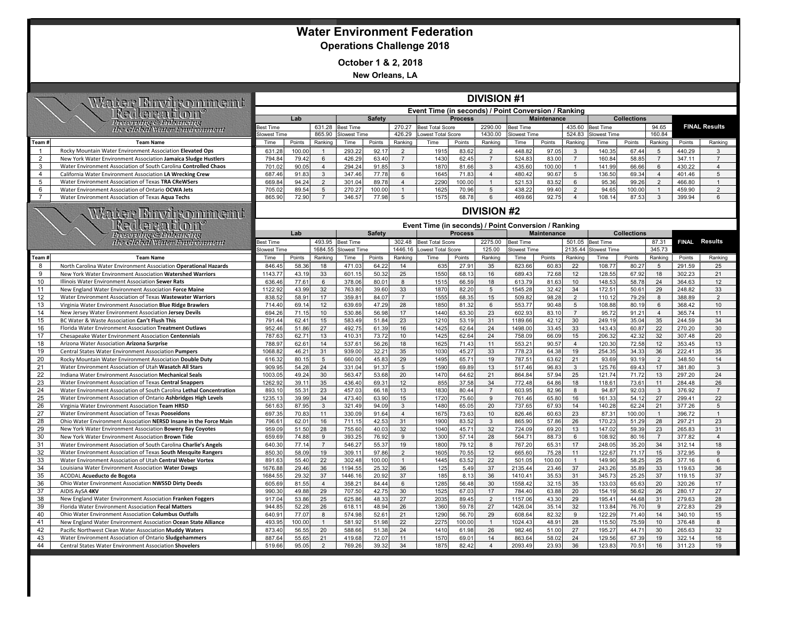## **Water Environment Federation Operations Challenge 2018**

**October 1 & 2, 2018**

**New Orleans, LA**

|                                     |                                                                                                                                 |                                                      |                                                      |                 |                     |                |                |                         |                | <b>DIVISION #1</b>   |                  |                    |                 |                     |                    |                    |                      |                      |
|-------------------------------------|---------------------------------------------------------------------------------------------------------------------------------|------------------------------------------------------|------------------------------------------------------|-----------------|---------------------|----------------|----------------|-------------------------|----------------|----------------------|------------------|--------------------|-----------------|---------------------|--------------------|--------------------|----------------------|----------------------|
| Water Binthromment<br>  Rederation" |                                                                                                                                 | Event Time (in seconds) / Point Conversion / Ranking |                                                      |                 |                     |                |                |                         |                |                      |                  |                    |                 |                     |                    |                    |                      |                      |
|                                     |                                                                                                                                 |                                                      | Lab                                                  |                 |                     | <b>Safety</b>  |                |                         | <b>Process</b> |                      |                  | <b>Maintenance</b> |                 |                     | <b>Collections</b> |                    |                      |                      |
|                                     | Preserving & Enhancing<br>the Clobal Water Environment                                                                          | Best Time                                            |                                                      | 631.28          | <b>Best Time</b>    |                | 270.27         | <b>Best Total Score</b> |                | 2290.00              | <b>Best Time</b> |                    |                 | 435.60 Best Time    |                    | 94.65              |                      | <b>FINAL Results</b> |
|                                     |                                                                                                                                 | <b>Slowest Time</b>                                  |                                                      | 865.90          | <b>Slowest Time</b> |                | 426.29         | Lowest Total Score      |                | 1430.00              | Slowest Time     |                    | 524.83          | <b>Slowest Time</b> |                    | 160.84             |                      |                      |
| Team #                              | <b>Team Name</b>                                                                                                                | Time                                                 | Points                                               | Ranking         | Time                | Points         | Ranking        | Time                    | Points         | Ranking              | Time             | Points             | Ranking         | Time                | Points             | Ranking            | Points               | Ranking              |
|                                     | Rocky Mountain Water Environment Association Elevated Ops                                                                       | 631.28                                               | 100.00                                               | $\overline{1}$  | 293.22              | 92.1           | 2              | 1915                    | 83.62          | $\overline{2}$       | 448.82           | 97.05              | 3               | 140.35              | 67.44              | 5                  | 440.29               | 3                    |
| $\overline{2}$                      | New York Water Environment Association Jamaica Sludge Hustlers                                                                  | 794.84                                               | 79.42                                                | $6\phantom{.}6$ | 426.29              | 63.40          | $\overline{7}$ | 1430                    | 62.45          | $\overline{7}$       | 524.8            | 83.00              | $\overline{7}$  | 160.84              | 58.85              | $\overline{7}$     | 347.11               | $\overline{7}$       |
| 3                                   | Water Environment Association of South Carolina Controlled Chaos                                                                | 701.02                                               | 90.05                                                | $\overline{4}$  | 294.24              | 91.85          | 3              | 1870                    | 81.66          | 3                    | 435.60           | 100.00             | $\overline{1}$  | 141.99              | 66.66              | 6                  | 430.22               | $\overline{4}$       |
| $\overline{\mathbf{A}}$             | California Water Environment Association LA Wrecking Crew                                                                       | 687.46                                               | 91.8                                                 | 3               | 347.46              | 77.78          | 6              | 1645                    | 71.83          | $\overline{4}$       | 480.4            | 90.67              | $5\phantom{.0}$ | 136.50              | 69.34              | $\overline{4}$     | 401.46               | $5\phantom{.0}$      |
| 5                                   | Water Environment Association of Texas TRA CReWSers                                                                             | 669.84                                               | 94.24                                                | 2               | 301.04              | 89.78          | $\overline{4}$ | 2290                    | 100.00         | $\mathbf{1}$         | 521.53           | 83.52              | $6\phantom{1}$  | 95.36               | 99.26              | 2                  | 466.80               | $\overline{1}$       |
| 6                                   | Water Environment Association of Ontario OCWA Jets                                                                              | 705.02                                               | 89.54                                                | $5\phantom{.0}$ | 270.27              | 100.00         | $\mathbf{1}$   | 1625                    | 70.96          | $5^{\circ}$          | 438.22           | 99.40              | $\overline{2}$  | 94.65               | 100.00             | $\overline{1}$     | 459.90               | $\overline{2}$       |
| $\overline{7}$                      | Water Environment Association of Texas Aqua Techs                                                                               | 865.90                                               | 72.90                                                | $\overline{7}$  | 346.57              | 77.98          | 5              | 1575                    | 68.78          | 6                    | 469.66           | 92.75              | $\overline{4}$  | 108.14              | 87.53              | $\mathbf{3}$       | 399.94               | 6                    |
|                                     | Water Environment<br>Nederation                                                                                                 |                                                      |                                                      |                 |                     |                |                |                         |                | <b>DIVISION #2</b>   |                  |                    |                 |                     |                    |                    |                      |                      |
|                                     |                                                                                                                                 |                                                      | Event Time (in seconds) / Point Conversion / Ranking |                 |                     |                |                |                         |                |                      |                  |                    |                 |                     |                    |                    |                      |                      |
|                                     | Preserving & Enhancing                                                                                                          |                                                      | Lab                                                  |                 |                     | <b>Safety</b>  |                |                         | <b>Process</b> |                      |                  | <b>Maintenance</b> |                 |                     | <b>Collections</b> |                    |                      |                      |
|                                     | the Global Water Environment                                                                                                    | Best Time                                            |                                                      | 493.95          | Best Time           |                | 302.48         | <b>Best Total Score</b> |                | 2275.00              | <b>Best Time</b> |                    | 501.05          | <b>Best Time</b>    |                    | 87.31              | <b>FINAL Results</b> |                      |
|                                     |                                                                                                                                 | <b>Slowest Time</b>                                  |                                                      | 1684.55         | <b>Slowest Time</b> |                | 1446.16        | owest Total Score       |                | 125.00               | Slowest Time     |                    | 2135.44         | <b>Slowest Time</b> |                    | 345.73             |                      |                      |
| Team i                              | <b>Team Name</b>                                                                                                                | Time                                                 | Points                                               | Ranking         | Time                | Points         | Ranking        | Time                    | Points         | Ranking              | Time             | Points             | Ranking         | Time                | Points             | Ranking            | Points               | Ranking              |
| 8                                   | North Carolina Water Environment Association Operational Hazards                                                                | 846.45                                               | 58.36                                                | 18              | 471.03              | 64.22          | 14             | 635                     | 27.91          | 35                   | 823.66           | 60.83              | 22              | 108.77              | 80.27              | $\overline{5}$     | 291.59               | 25                   |
| $\mathsf{Q}$                        | New York Water Environment Association Watershed Warriors                                                                       | 1143.77                                              | 43.19                                                | 33              | 601.15              | 50.3           | 25             | 1550                    | 68.13          | 16                   | 689.43           | 72.68              | 12              | 128.55              | 67.92              | 18                 | 302.23               | 21                   |
| 10                                  | Illinois Water Environment Association Sewer Rats                                                                               | 636.46                                               | 77.61                                                | 6               | 378.06              | 80.01          | 8              | 1515                    | 66.59          | 18                   | 613.79           | 81.63              | 10              | 148.53              | 58.78              | 24                 | 364.63               | 12                   |
| 11                                  | New England Water Environment Association Force Maine                                                                           | 1122.92                                              | 43.99                                                | 32              | 763.80              | 39.60          | 33             | 1870                    | 82.20          | 5                    | 1545.28          | 32.42              | 34              | 172.51              | 50.61              | 29                 | 248.82               | 33                   |
| 12                                  | Water Environment Association of Texas Wastewater Warriors                                                                      | 838.52                                               | 58.91                                                | 17              | 359.8'              | 84.07          | $\overline{7}$ | 1555                    | 68.35          | 15                   | 509.82           | 98.28              | $\overline{2}$  | 110.12              | 79.29              | 8                  | 388.89               | $\overline{2}$       |
| 13                                  | Virginia Water Environment Association Blue Ridge Brawlers                                                                      | 714.40                                               | 69.1                                                 | 12              | 639.69              | 47.29          | 28             | 1850                    | 81.32          | 6                    | 553.77           | 90.48              | 5               | 108.88              | 80.19              | $6\phantom{1}$     | 368.42               | 10                   |
| 14                                  | New Jersey Water Environment Association Jersey Devils                                                                          | 694.26                                               | 71.15                                                | 10              | 530.86              | 56.98          | 17             | 1440                    | 63.30          | 23                   | 602.93           | 83.10              | $\overline{7}$  | 95.72               | 91.21              | $\overline{4}$     | 365.74               | 11                   |
| 15                                  | BC Water & Waste Association Can't Flush This                                                                                   | 791.44                                               | 62.41                                                | 15              | 583.49              | 51.84          | 23             | 1210                    | 53.19          | 31                   | 1189.66          | 42.12              | 30              | 249.19              | 35.04              | 35                 | 244.59               | 34                   |
| 16                                  | Florida Water Environment Association Treatment Outlaws                                                                         | 952.46                                               | 51.86                                                | 27              | 492.75              | 61.39          | 16             | 1425                    | 62.64          | 24                   | 1498.00          | 33.45              | 33              | 143.43              | 60.87              | 22                 | 270.20               | 30                   |
| 17                                  | Chesapeake Water Environment Association Centennials                                                                            | 787.63                                               | 62.7'                                                | 13              | 410.3               | 73.72          | 10             | 1425                    | 62.64          | 24                   | 758.09           | 66.09              | 15              | 206.32              | 42.32              | 32                 | 307.48               | 20                   |
| 18                                  | Arizona Water Association Arizona Surprise                                                                                      | 788.97                                               | 62.61                                                | 14              | 537.6'              | 56.26          | 18             | 1625                    | 71.43          | 11                   | $553.2^{\circ}$  | 90.57              | $\overline{4}$  | 120.30              | 72.58              | 12                 | 353.45               | 13                   |
| 19                                  | Central States Water Environment Association Pumpers                                                                            | 1068.8                                               | $46.2^{\circ}$                                       | 31              | 939.00              | $32.2^{\circ}$ | 35             | 1030                    | 45.27          | 33                   | 778.2            | 64.38              | 19              | 254.35              | 34.33              | 36                 | 222.41               | 35                   |
| 20                                  | Rocky Mountain Water Environment Association Double Duty                                                                        | 616.32                                               | 80.15                                                | 5               | 660.00              | 45.83          | 29             | 1495                    | 65.71          | 19                   | 787.5'           | 63.62              | 21              | 93.69               | 93.19              | 2                  | 348.50               | 14                   |
| 21                                  | Water Environment Association of Utah Wasatch All Stars                                                                         | 909.9                                                | 54.28                                                | 24              | 331.04              | 91.3           | $\overline{5}$ | 1590                    | 69.89          | 13                   | 517.46           | 96.83              | $\mathbf{3}$    | 125.76              | 69.43              | 17                 | 381.80               | 3                    |
| 22                                  | Indiana Water Environment Association Mechanical Seals                                                                          | 1003.05                                              | 49.24                                                | 30              | 563.47              | 53.68          | 20             | 1470                    | 64.62          | 21                   | 864.84           | 57.94              | 25              | 121.74              | 71.72              | 13                 | 297.20               | 24                   |
| 23<br>24                            | Water Environment Association of Texas Central Snappers<br>Water Environment Association of South Carolina Lethal Concentration | 1262.92<br>893.10                                    | 39.11<br>55.3'                                       | 35<br>23        | 436.40<br>457.03    | 69.3<br>66.18  | 12<br>13       | 855<br>1830             | 37.58          | 34<br>$\overline{7}$ | 772.48<br>603.95 | 64.86<br>82.96     | 18              | 118.61<br>94.87     | 73.61<br>92.03     | 11<br>$\mathbf{3}$ | 284.48<br>376.92     | 26                   |
| 25                                  | Water Environment Association of Ontario Ashbridges High Levels                                                                 | 1235.13                                              | 39.99                                                | 34              | 473.40              | 63.90          | 15             | 1720                    | 80.44<br>75.60 | $\mathsf g$          | 761.46           | 65.80              | 8<br>16         | 161.33              | 54.12              | 27                 | 299.41               | $\overline{7}$<br>22 |
| 26                                  | Virginia Water Environment Association Team HRSD                                                                                | 561.63                                               | 87.95                                                | 3               | 321.49              | 94.09          | 3              | 1480                    | 65.05          | 20                   | 737.65           | 67.93              | 14              | 140.28              | 62.24              | 21                 |                      | 5                    |
| 27                                  | Water Environment Association of Texas Pooseidons                                                                               | 697.3                                                | 70.8                                                 | 11              | 330.09              | 91.64          | $\overline{A}$ | 1675                    | 73.63          | 10                   | 826.46           | 60.6               | 23              | 87.3                | 100.00             | $\overline{1}$     | 377.26<br>396.72     | $\overline{1}$       |
| 28                                  | Ohio Water Environment Association NERSD Insane in the Force Main                                                               | 796.6                                                | 62.01                                                | 16              | 711.15              | 42.53          | 31             | 1900                    | 83.52          | 3                    | 865.90           | 57.86              | 26              | 170.23              | 51.29              | 28                 | 297.21               | 23                   |
| 29                                  | New York Water Environment Association Bowery Bay Covotes                                                                       | 959.09                                               | 51.50                                                | 28              | 755.60              | 40.0           | 32             | 1040                    | 45.71          | 32                   | 724.09           | 69.20              | 13              | 147.02              | 59.39              | 23                 | 265.83               | 31                   |
| 30                                  | New York Water Environment Association Brown Tide                                                                               | 659.69                                               | 74.88                                                | 9               | 393.25              | 76.92          | 9              | 1300                    | 57.14          | 28                   | 564.7            | 88.7               | 6               | 108.92              | 80.16              | $\overline{7}$     | 377.82               | $\overline{4}$       |
| 31                                  | Water Environment Association of South Carolina Charlie's Angels                                                                | 640.3                                                | 77.14                                                | $\overline{7}$  | 546.2               | 55.3           | 19             | 1800                    | 79.12          | 8                    | 767.2            | 65.31              | 17              | 248.05              | 35.20              | 34                 | 312.14               | 18                   |
| 32                                  | Water Environment Association of Texas South Mesquite Rangers                                                                   | 850.30                                               | 58.09                                                | 19              | 309.1 <sup>°</sup>  | 97.86          | $\overline{2}$ | 1605                    | 70.55          | 12                   | 665.60           | 75.28              | 11              | 122.67              | 71.17              | 15                 | 372.95               | 9                    |
| 33                                  | Water Environment Association of Utah Central Weber Vortex                                                                      | 891.63                                               | 55.40                                                | 22              | 302.48              | 100.00         | $\overline{1}$ | 1445                    | 63.52          | 22                   | 501.05           | 100.00             | $\overline{1}$  | 149.90              | 58.25              | 25                 | 377.16               | 6                    |
| 34                                  | Louisiana Water Environment Association Water Dawgs                                                                             | 1676.88                                              | 29.46                                                | 36              | 1194.55             | 25.32          | 36             | 125                     | 5.49           | 37                   | 2135.44          | 23.46              | 37              | 243.26              | 35.89              | 33                 | 119.63               | 36                   |
| 35                                  | ACODAL Acueducto de Bogota                                                                                                      | 1684.55                                              | 29.32                                                | 37              | 1446.16             | 20.92          | 37             | 185                     | 8.13           | 36                   | 1410.4           | 35.53              | 31              | 345.73              | 25.25              | 37                 | 119.15               | 37                   |
| 36                                  | Ohio Water Environment Association NWSSD Dirty Deeds                                                                            | 605.69                                               | 81.55                                                | $\overline{4}$  | 358.2'              | 84.44          | 6              | 1285                    | 56.48          | 30                   | 1558.42          | 32.15              | 35              | 133.03              | 65.63              | 20                 | 320.26               | 17                   |
| 37                                  | AIDIS AySA 4KV                                                                                                                  | 990.30                                               | 49.88                                                | 29              | 707.50              | 42.75          | 30             | 1525                    | 67.03          | 17                   | 784.40           | 63.88              | 20              | 154.19              | 56.62              | 26                 | 280.17               | 27                   |
| 38                                  | New England Water Environment Association Franken Foggers                                                                       | 917.04                                               | 53.86                                                | 25              | 625.86              | 48.33          | 27             | 2035                    | 89.45          | $\overline{2}$       | 1157.06          | 43.30              | 29              | 195.41              | 44.68              | 31                 | 279.63               | 28                   |
| 39                                  | Florida Water Environment Association Fecal Matters                                                                             | 944.85                                               | 52.28                                                | 26              | 618.11              | 48.94          | 26             | 1360                    | 59.78          | 27                   | 1426.04          | 35.14              | 32              | 113.84              | 76.70              | 9                  | 272.83               | 29                   |
| 40                                  | Ohio Water Environment Association Columbus Outfalls                                                                            | 640.9                                                | 77.07                                                | 8               | 574.98              | $52.6^{\circ}$ | 21             | 1290                    | 56.70          | 29                   | 608.64           | 82.32              | 9               | 122.29              | 71.40              | 14                 | 340.10               | 15                   |
| 41                                  | New England Water Environment Association Ocean State Alliance                                                                  | 493.95                                               | 100.00                                               | $\mathbf{1}$    | 581.92              | 51.98          | 22             | 2275                    | 100.00         | $\mathbf{1}$         | 1024.4           | 48.91              | 28              | 115.50              | 75.59              | 10                 | 376.48               | 8                    |
| 42                                  | Pacific Northwest Clean Water Association Muddy Waters                                                                          | 873.40                                               | 56.55                                                | 20              | 588.66              | 51.38          | 24             | 1410                    | 61.98          | 26                   | 982.46           | 51.00              | 27              | 195.27              | 44.71              | 30                 | 265.63               | 32                   |
| 43                                  | Water Environment Association of Ontario Sludgehammers                                                                          | 887.64                                               | 55.65                                                | 21              | 419.68              | 72.07          | 11             | 1570                    | 69.01          | 14                   | 863.64           | 58.02              | 24              | 129.56              | 67.39              | 19                 | 322.14               | 16                   |
| 44                                  | Central States Water Environment Association Shovelers                                                                          | 519.66                                               | 95.05                                                | 2               | 769.26              | 39.32          | 34             | 1875                    | 82.42          | $\overline{4}$       | 2093.49          | 23.93              | 36              | 123.83              | 70.51              | 16                 | 311.23               | 19                   |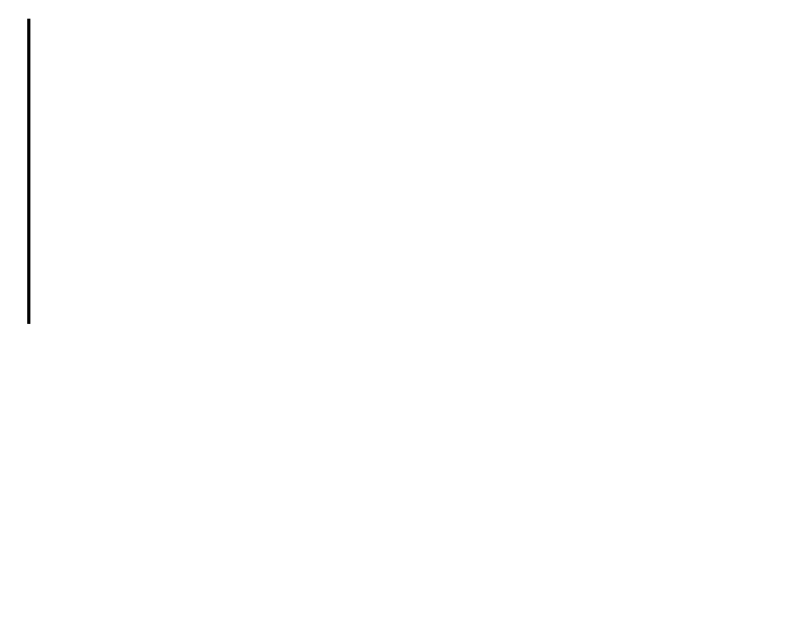